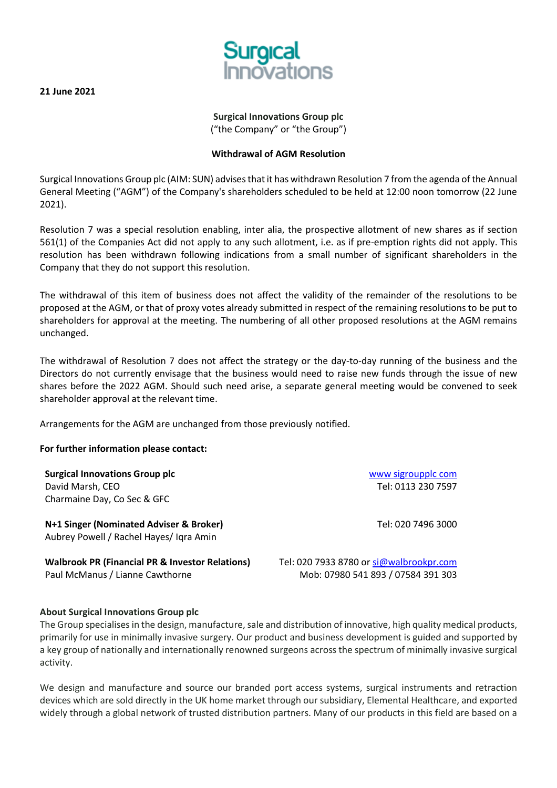**21 June 2021** 



## **Surgical Innovations Group plc** ("the Company" or "the Group")

# **Withdrawal of AGM Resolution**

Surgical Innovations Group plc (AIM: SUN) advises that it has withdrawn Resolution 7 from the agenda of the Annual General Meeting ("AGM") of the Company's shareholders scheduled to be held at 12:00 noon tomorrow (22 June 2021).

Resolution 7 was a special resolution enabling, inter alia, the prospective allotment of new shares as if section 561(1) of the Companies Act did not apply to any such allotment, i.e. as if pre-emption rights did not apply. This resolution has been withdrawn following indications from a small number of significant shareholders in the Company that they do not support this resolution.

The withdrawal of this item of business does not affect the validity of the remainder of the resolutions to be proposed at the AGM, or that of proxy votes already submitted in respect of the remaining resolutions to be put to shareholders for approval at the meeting. The numbering of all other proposed resolutions at the AGM remains unchanged.

The withdrawal of Resolution 7 does not affect the strategy or the day-to-day running of the business and the Directors do not currently envisage that the business would need to raise new funds through the issue of new shares before the 2022 AGM. Should such need arise, a separate general meeting would be convened to seek shareholder approval at the relevant time.

Arrangements for the AGM are unchanged from those previously notified.

## **For further information please contact:**

| <b>Surgical Innovations Group plc</b><br>David Marsh, CEO<br>Charmaine Day, Co Sec & GFC      | www sigroupplc com<br>Tel: 0113 230 7597                                      |
|-----------------------------------------------------------------------------------------------|-------------------------------------------------------------------------------|
| N+1 Singer (Nominated Adviser & Broker)<br>Aubrey Powell / Rachel Hayes/ Igra Amin            | Tel: 020 7496 3000                                                            |
| <b>Walbrook PR (Financial PR &amp; Investor Relations)</b><br>Paul McManus / Lianne Cawthorne | Tel: 020 7933 8780 or si@walbrookpr.com<br>Mob: 07980 541 893 / 07584 391 303 |

## **About Surgical Innovations Group plc**

The Group specialises in the design, manufacture, sale and distribution of innovative, high quality medical products, primarily for use in minimally invasive surgery. Our product and business development is guided and supported by a key group of nationally and internationally renowned surgeons across the spectrum of minimally invasive surgical activity.

We design and manufacture and source our branded port access systems, surgical instruments and retraction devices which are sold directly in the UK home market through our subsidiary, Elemental Healthcare, and exported widely through a global network of trusted distribution partners. Many of our products in this field are based on a